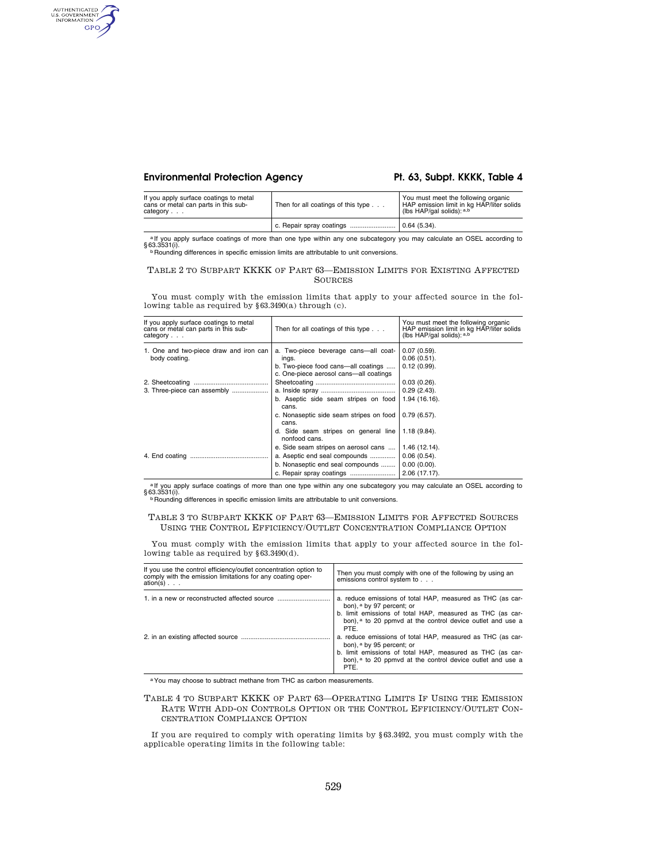## **Environmental Protection Agency Pt. 63, Subpt. KKKK, Table 4**

AUTHENTICATED<br>U.S. GOVERNMENT<br>INFORMATION **GPO** 

| If you apply surface coatings to metal<br>cans or metal can parts in this sub-<br>category $\ldots$ | Then for all coatings of this type | You must meet the following organic<br>HAP emission limit in kg HAP/liter solids<br>(lbs $HAP$ /gal solids): $a,b$ |
|-----------------------------------------------------------------------------------------------------|------------------------------------|--------------------------------------------------------------------------------------------------------------------|
|                                                                                                     |                                    |                                                                                                                    |

alf you apply surface coatings of more than one type within any one subcategory you may calculate an OSEL according to<br>§ 63.3531(i).<br>□ Rounding differences in specific emission limits are attributable to unit conversions.

### TABLE 2 TO SUBPART KKKK OF PART 63—EMISSION LIMITS FOR EXISTING AFFECTED SOURCES

You must comply with the emission limits that apply to your affected source in the following table as required by §63.3490(a) through (c).

| If you apply surface coatings to metal<br>cans or metal can parts in this sub-<br>category $\ldots$ | Then for all coatings of this type $\ldots$                                                                                    | You must meet the following organic<br>HAP emission limit in kg HAP/liter solids<br>(lbs HAP/gal solids): $a,b$ |
|-----------------------------------------------------------------------------------------------------|--------------------------------------------------------------------------------------------------------------------------------|-----------------------------------------------------------------------------------------------------------------|
| 1. One and two-piece draw and iron can<br>body coating.                                             | a. Two-piece beverage cans-all coat-<br>ings.<br>b. Two-piece food cans-all coatings<br>c. One-piece aerosol cans-all coatings | $0.07(0.59)$ .<br>$0.06(0.51)$ .<br>$0.12(0.99)$ .                                                              |
|                                                                                                     | b. Aseptic side seam stripes on food<br>cans.                                                                                  | $0.03(0.26)$ .<br>$0.29(2.43)$ .<br>1.94(16.16).                                                                |
|                                                                                                     | c. Nonaseptic side seam stripes on food<br>cans.<br>d. Side seam stripes on general line $\vert$ 1.18 (9.84).                  | $0.79(6.57)$ .                                                                                                  |
|                                                                                                     | nonfood cans.<br>e. Side seam stripes on aerosol cans<br>a. Aseptic end seal compounds<br>b. Nonaseptic end seal compounds     | 1.46 (12.14).<br>$0.06(0.54)$ .<br>$0.00(0.00)$ .<br>$2.06(17.17)$ .                                            |

alf you apply surface coatings of more than one type within any one subcategory you may calculate an OSEL according to

**B** Rounding differences in specific emission limits are attributable to unit conversions.

### TABLE 3 TO SUBPART KKKK OF PART 63—EMISSION LIMITS FOR AFFECTED SOURCES USING THE CONTROL EFFICIENCY/OUTLET CONCENTRATION COMPLIANCE OPTION

You must comply with the emission limits that apply to your affected source in the following table as required by §63.3490(d).

| If you use the control efficiency/outlet concentration option to<br>comply with the emission limitations for any coating oper-<br>ation(s) $\ldots$ | Then you must comply with one of the following by using an<br>emissions control system to                                                                                                                                             |
|-----------------------------------------------------------------------------------------------------------------------------------------------------|---------------------------------------------------------------------------------------------------------------------------------------------------------------------------------------------------------------------------------------|
| 1. in a new or reconstructed affected source                                                                                                        | a. reduce emissions of total HAP, measured as THC (as car-<br>bon), a by 97 percent; or<br>b. limit emissions of total HAP, measured as THC (as car-<br>bon), a to 20 ppmvd at the control device outlet and use a<br>PTE.            |
|                                                                                                                                                     | a. reduce emissions of total HAP, measured as THC (as car-<br>bon), <sup>a</sup> by 95 percent; or<br>b. limit emissions of total HAP, measured as THC (as car-<br>bon), a to 20 ppmvd at the control device outlet and use a<br>PTE. |

aYou may choose to subtract methane from THC as carbon measurements.

### TABLE 4 TO SUBPART KKKK OF PART 63—OPERATING LIMITS IF USING THE EMISSION RATE WITH ADD-ON CONTROLS OPTION OR THE CONTROL EFFICIENCY/OUTLET CON-CENTRATION COMPLIANCE OPTION

If you are required to comply with operating limits by §63.3492, you must comply with the applicable operating limits in the following table: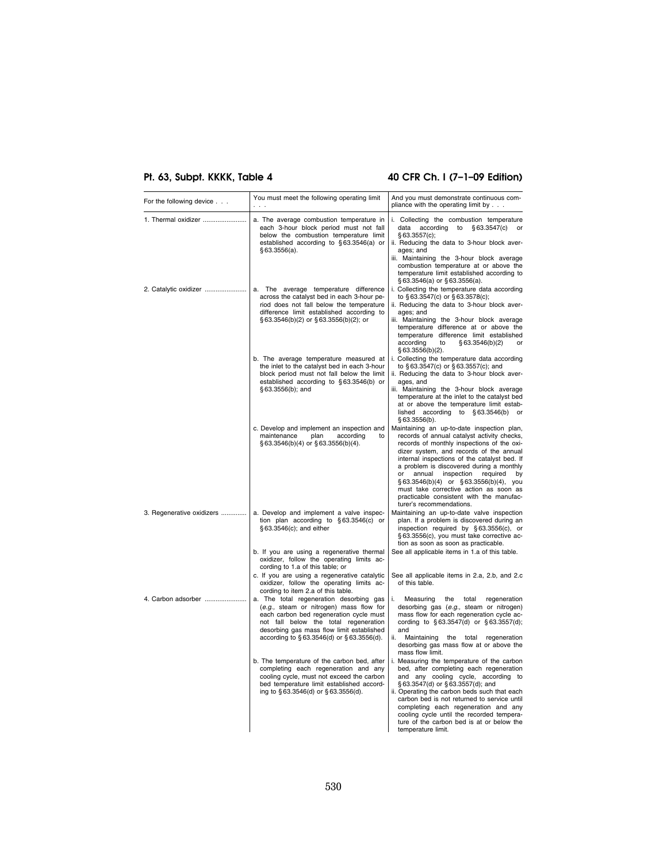# **Pt. 63, Subpt. KKKK, Table 4 40 CFR Ch. I (7–1–09 Edition)**

| For the following device  | You must meet the following operating limit<br>$\cdots$                                                                                                                                                                                                                  | And you must demonstrate continuous com-<br>pliance with the operating limit by                                                                                                                                                                                                                                                                                                                                                                                                                     |
|---------------------------|--------------------------------------------------------------------------------------------------------------------------------------------------------------------------------------------------------------------------------------------------------------------------|-----------------------------------------------------------------------------------------------------------------------------------------------------------------------------------------------------------------------------------------------------------------------------------------------------------------------------------------------------------------------------------------------------------------------------------------------------------------------------------------------------|
| 1. Thermal oxidizer       | a. The average combustion temperature in<br>each 3-hour block period must not fall<br>below the combustion temperature limit<br>established according to §63.3546(a) or<br>§63.3556(a).                                                                                  | i. Collecting the combustion temperature<br>according to<br>\$63.3547(c)<br>data<br>§63.3557(c);<br>ii. Reducing the data to 3-hour block aver-<br>ages; and<br>iii. Maintaining the 3-hour block average<br>combustion temperature at or above the<br>temperature limit established according to<br>§63.3546(a) or §63.3556(a).                                                                                                                                                                    |
| 2. Catalytic oxidizer     | a. The average temperature difference<br>across the catalyst bed in each 3-hour pe-<br>riod does not fall below the temperature<br>difference limit established according to<br>§63.3546(b)(2) or §63.3556(b)(2); or                                                     | i. Collecting the temperature data according<br>to §63.3547(c) or §63.3578(c);<br>ii. Reducing the data to 3-hour block aver-<br>ages; and<br>iii. Maintaining the 3-hour block average<br>temperature difference at or above the<br>temperature difference limit established<br>§ 63.3546(b)(2)<br>according<br>to<br>or<br>$\S 63.3556(b)(2)$ .                                                                                                                                                   |
|                           | b. The average temperature measured at<br>the inlet to the catalyst bed in each 3-hour<br>block period must not fall below the limit<br>established according to $§63.3546(b)$ or<br>$§63.3556(b);$ and                                                                  | i. Collecting the temperature data according<br>to §63.3547(c) or §63.3557(c); and<br>ii. Reducing the data to 3-hour block aver-<br>ages, and<br>iii. Maintaining the 3-hour block average<br>temperature at the inlet to the catalyst bed<br>at or above the temperature limit estab-<br>lished according to §63.3546(b) or<br>§63.3556(b).                                                                                                                                                       |
|                           | c. Develop and implement an inspection and<br>maintenance<br>plan<br>according<br>to<br>$\S 63.3546(b)(4)$ or $\S 63.3556(b)(4)$ .                                                                                                                                       | Maintaining an up-to-date inspection plan,<br>records of annual catalyst activity checks,<br>records of monthly inspections of the oxi-<br>dizer system, and records of the annual<br>internal inspections of the catalyst bed. If<br>a problem is discovered during a monthly<br>annual<br>inspection<br>required<br>$\alpha$ r<br>by<br>§ 63.3546(b)(4) or § 63.3556(b)(4), you<br>must take corrective action as soon as<br>practicable consistent with the manufac-<br>turer's recommendations. |
| 3. Regenerative oxidizers | a. Develop and implement a valve inspec-<br>tion plan according to $§ 63.3546(c)$ or<br>§ 63.3546(c); and either                                                                                                                                                         | Maintaining an up-to-date valve inspection<br>plan. If a problem is discovered during an<br>inspection required by §63.3556(c), or<br>§ 63.3556(c), you must take corrective ac-<br>tion as soon as soon as practicable.                                                                                                                                                                                                                                                                            |
|                           | b. If you are using a regenerative thermal<br>oxidizer, follow the operating limits ac-<br>cording to 1.a of this table; or                                                                                                                                              | See all applicable items in 1.a of this table.                                                                                                                                                                                                                                                                                                                                                                                                                                                      |
|                           | c. If you are using a regenerative catalytic<br>oxidizer, follow the operating limits ac-<br>cording to item 2.a of this table.                                                                                                                                          | See all applicable items in 2.a, 2.b, and 2.c<br>of this table.                                                                                                                                                                                                                                                                                                                                                                                                                                     |
| 4. Carbon adsorber        | a. The total regeneration desorbing gas<br>(e.g., steam or nitrogen) mass flow for<br>each carbon bed regeneration cycle must<br>not fall below the total regeneration<br>desorbing gas mass flow limit established<br>according to $\S 63.3546(d)$ or $\S 63.3556(d)$ . | i.<br>Measuring<br>the<br>total<br>regeneration<br>desorbing gas (e.g., steam or nitrogen)<br>mass flow for each regeneration cycle ac-<br>cording to §63.3547(d) or §63.3557(d);<br>and<br>ii.<br>Maintaining<br>the total regeneration<br>desorbing gas mass flow at or above the<br>mass flow limit.                                                                                                                                                                                             |
|                           | b. The temperature of the carbon bed, after<br>completing each regeneration and any<br>cooling cycle, must not exceed the carbon<br>bed temperature limit established accord-<br>ing to $\S 63.3546(d)$ or $\S 63.3556(d)$ .                                             | i. Measuring the temperature of the carbon<br>bed, after completing each regeneration<br>and any cooling cycle, according to<br>§ 63.3547(d) or § 63.3557(d); and<br>ii. Operating the carbon beds such that each<br>carbon bed is not returned to service until<br>completing each regeneration and any<br>cooling cycle until the recorded tempera-<br>ture of the carbon bed is at or below the<br>temperature limit.                                                                            |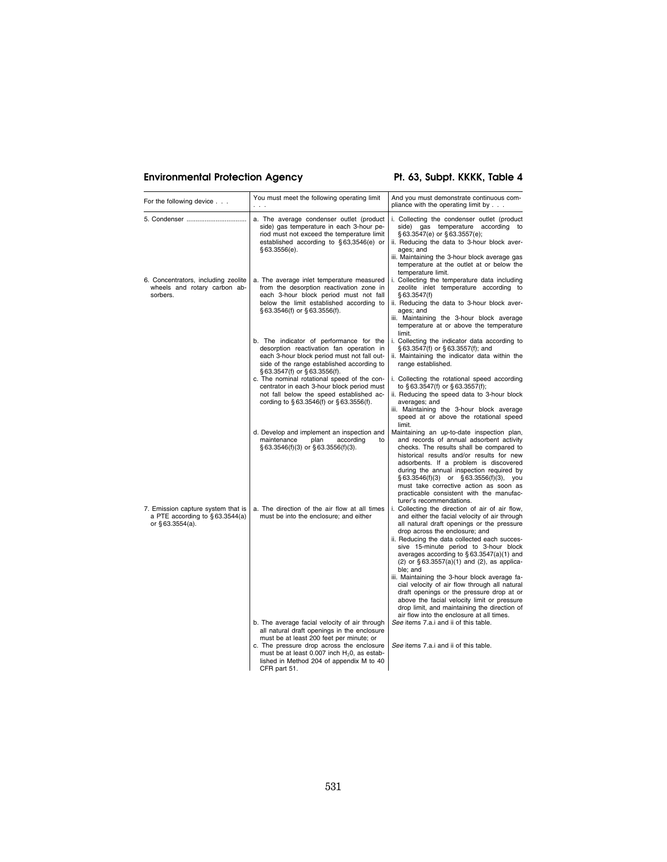# Environmental Protection Agency **Pt. 63, Subpt. KKKK, Table 4**

| For the following device                                                                       | You must meet the following operating limit                                                                                                                                                                                                                                                         | And you must demonstrate continuous com-<br>pliance with the operating limit by $\ldots$                                                                                                                                                                                                                                                                                                                                                                                                                                                                                                                                                                                       |
|------------------------------------------------------------------------------------------------|-----------------------------------------------------------------------------------------------------------------------------------------------------------------------------------------------------------------------------------------------------------------------------------------------------|--------------------------------------------------------------------------------------------------------------------------------------------------------------------------------------------------------------------------------------------------------------------------------------------------------------------------------------------------------------------------------------------------------------------------------------------------------------------------------------------------------------------------------------------------------------------------------------------------------------------------------------------------------------------------------|
|                                                                                                | a. The average condenser outlet (product<br>side) gas temperature in each 3-hour pe-<br>riod must not exceed the temperature limit<br>established according to §63,3546(e) or<br>§63.3556(e).                                                                                                       | i. Collecting the condenser outlet (product<br>side) gas temperature according to<br>§63.3547(e) or §63.3557(e);<br>ii. Reducing the data to 3-hour block aver-<br>ages; and<br>iii. Maintaining the 3-hour block average gas<br>temperature at the outlet at or below the<br>temperature limit.                                                                                                                                                                                                                                                                                                                                                                               |
| 6. Concentrators, including zeolite<br>wheels and rotary carbon ab-<br>sorbers.                | a. The average inlet temperature measured<br>from the desorption reactivation zone in<br>each 3-hour block period must not fall<br>below the limit established according to<br>§63.3546(f) or §63.3556(f).                                                                                          | i. Collecting the temperature data including<br>zeolite inlet temperature according to<br>§ 63.3547(f)<br>ii. Reducing the data to 3-hour block aver-<br>ages; and<br>iii. Maintaining the 3-hour block average<br>temperature at or above the temperature<br>limit.                                                                                                                                                                                                                                                                                                                                                                                                           |
|                                                                                                | b. The indicator of performance for the<br>desorption reactivation fan operation in<br>each 3-hour block period must not fall out-<br>side of the range established according to<br>§63.3547(f) or §63.3556(f).                                                                                     | i. Collecting the indicator data according to<br>§ 63.3547(f) or § 63.3557(f); and<br>ii. Maintaining the indicator data within the<br>range established.                                                                                                                                                                                                                                                                                                                                                                                                                                                                                                                      |
|                                                                                                | c. The nominal rotational speed of the con-<br>centrator in each 3-hour block period must<br>not fall below the speed established ac-<br>cording to §63.3546(f) or §63.3556(f).                                                                                                                     | i. Collecting the rotational speed according<br>to §63.3547(f) or §63.3557(f);<br>ii. Reducing the speed data to 3-hour block<br>averages; and<br>iii. Maintaining the 3-hour block average<br>speed at or above the rotational speed<br>limit.                                                                                                                                                                                                                                                                                                                                                                                                                                |
|                                                                                                | d. Develop and implement an inspection and<br>maintenance<br>according<br>plan<br>to<br>$\S 63.3546(f)(3)$ or $\S 63.3556(f)(3)$ .                                                                                                                                                                  | Maintaining an up-to-date inspection plan,<br>and records of annual adsorbent activity<br>checks. The results shall be compared to<br>historical results and/or results for new<br>adsorbents. If a problem is discovered<br>during the annual inspection required by<br>§63.3546(f)(3) or §63.3556(f)(3), you<br>must take corrective action as soon as<br>practicable consistent with the manufac-<br>turer's recommendations.                                                                                                                                                                                                                                               |
| 7. Emission capture system that is<br>a PTE according to $§ 63.3544(a)$<br>or $§ 63.3554(a)$ . | a. The direction of the air flow at all times<br>must be into the enclosure; and either                                                                                                                                                                                                             | i. Collecting the direction of air of air flow,<br>and either the facial velocity of air through<br>all natural draft openings or the pressure<br>drop across the enclosure; and<br>ii. Reducing the data collected each succes-<br>sive 15-minute period to 3-hour block<br>averages according to §63.3547(a)(1) and<br>(2) or $\S 63.3557(a)(1)$ and (2), as applica-<br>ble; and<br>iii. Maintaining the 3-hour block average fa-<br>cial velocity of air flow through all natural<br>draft openings or the pressure drop at or<br>above the facial velocity limit or pressure<br>drop limit, and maintaining the direction of<br>air flow into the enclosure at all times. |
|                                                                                                | b. The average facial velocity of air through<br>all natural draft openings in the enclosure<br>must be at least 200 feet per minute; or<br>c. The pressure drop across the enclosure<br>must be at least 0.007 inch $H_2$ 0, as estab-<br>lished in Method 204 of appendix M to 40<br>CFR part 51. | See items 7.a.i and ii of this table.<br>See items 7.a.i and ii of this table.                                                                                                                                                                                                                                                                                                                                                                                                                                                                                                                                                                                                 |